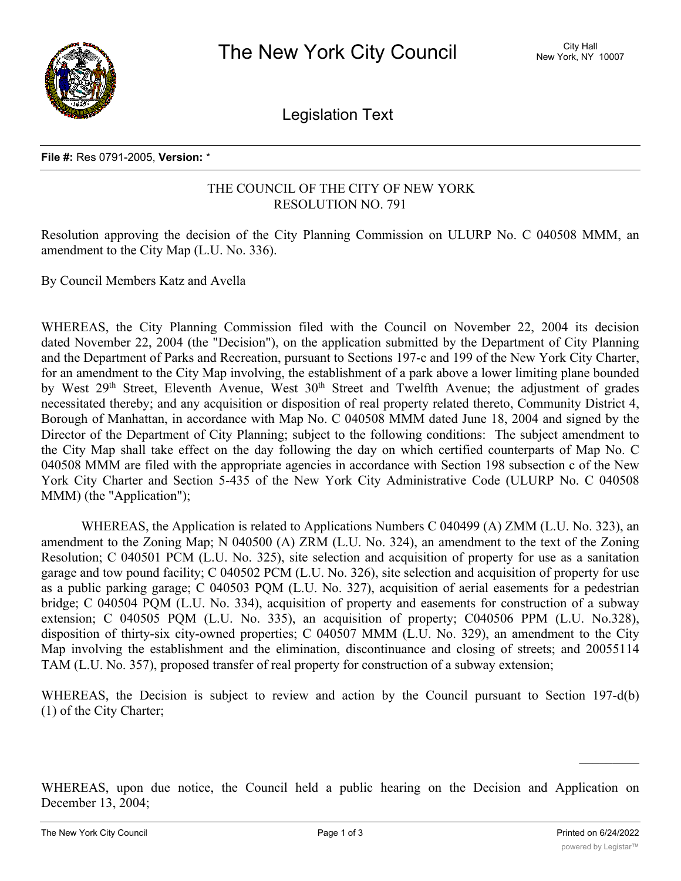

Legislation Text

## **File #:** Res 0791-2005, **Version:** \*

## THE COUNCIL OF THE CITY OF NEW YORK RESOLUTION NO. 791

Resolution approving the decision of the City Planning Commission on ULURP No. C 040508 MMM, an amendment to the City Map (L.U. No. 336).

By Council Members Katz and Avella

WHEREAS, the City Planning Commission filed with the Council on November 22, 2004 its decision dated November 22, 2004 (the "Decision"), on the application submitted by the Department of City Planning and the Department of Parks and Recreation, pursuant to Sections 197-c and 199 of the New York City Charter, for an amendment to the City Map involving, the establishment of a park above a lower limiting plane bounded by West 29<sup>th</sup> Street, Eleventh Avenue, West 30<sup>th</sup> Street and Twelfth Avenue; the adjustment of grades necessitated thereby; and any acquisition or disposition of real property related thereto, Community District 4, Borough of Manhattan, in accordance with Map No. C 040508 MMM dated June 18, 2004 and signed by the Director of the Department of City Planning; subject to the following conditions: The subject amendment to the City Map shall take effect on the day following the day on which certified counterparts of Map No. C 040508 MMM are filed with the appropriate agencies in accordance with Section 198 subsection c of the New York City Charter and Section 5-435 of the New York City Administrative Code (ULURP No. C 040508 MMM) (the "Application");

WHEREAS, the Application is related to Applications Numbers C 040499 (A) ZMM (L.U. No. 323), an amendment to the Zoning Map; N 040500 (A) ZRM (L.U. No. 324), an amendment to the text of the Zoning Resolution; C 040501 PCM (L.U. No. 325), site selection and acquisition of property for use as a sanitation garage and tow pound facility; C 040502 PCM (L.U. No. 326), site selection and acquisition of property for use as a public parking garage; C 040503 PQM (L.U. No. 327), acquisition of aerial easements for a pedestrian bridge; C 040504 PQM (L.U. No. 334), acquisition of property and easements for construction of a subway extension; C 040505 PQM (L.U. No. 335), an acquisition of property; C040506 PPM (L.U. No.328), disposition of thirty-six city-owned properties; C 040507 MMM (L.U. No. 329), an amendment to the City Map involving the establishment and the elimination, discontinuance and closing of streets; and 20055114 TAM (L.U. No. 357), proposed transfer of real property for construction of a subway extension;

WHEREAS, the Decision is subject to review and action by the Council pursuant to Section 197-d(b) (1) of the City Charter;

WHEREAS, upon due notice, the Council held a public hearing on the Decision and Application on December 13, 2004;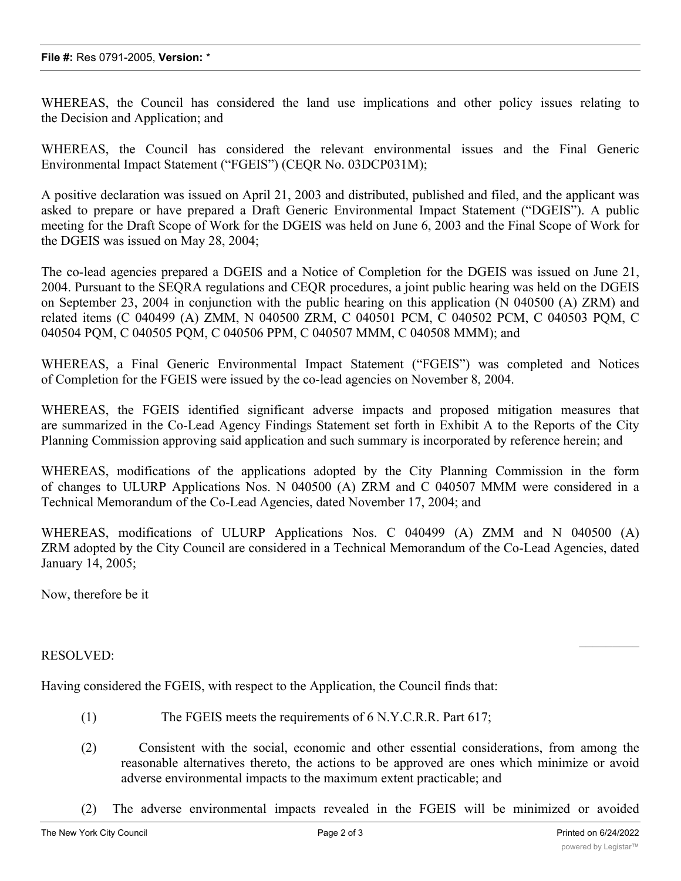WHEREAS, the Council has considered the land use implications and other policy issues relating to the Decision and Application; and

WHEREAS, the Council has considered the relevant environmental issues and the Final Generic Environmental Impact Statement ("FGEIS") (CEQR No. 03DCP031M);

A positive declaration was issued on April 21, 2003 and distributed, published and filed, and the applicant was asked to prepare or have prepared a Draft Generic Environmental Impact Statement ("DGEIS"). A public meeting for the Draft Scope of Work for the DGEIS was held on June 6, 2003 and the Final Scope of Work for the DGEIS was issued on May 28, 2004;

The co-lead agencies prepared a DGEIS and a Notice of Completion for the DGEIS was issued on June 21, 2004. Pursuant to the SEQRA regulations and CEQR procedures, a joint public hearing was held on the DGEIS on September 23, 2004 in conjunction with the public hearing on this application (N 040500 (A) ZRM) and related items (C 040499 (A) ZMM, N 040500 ZRM, C 040501 PCM, C 040502 PCM, C 040503 PQM, C 040504 PQM, C 040505 PQM, C 040506 PPM, C 040507 MMM, C 040508 MMM); and

WHEREAS, a Final Generic Environmental Impact Statement ("FGEIS") was completed and Notices of Completion for the FGEIS were issued by the co-lead agencies on November 8, 2004.

WHEREAS, the FGEIS identified significant adverse impacts and proposed mitigation measures that are summarized in the Co-Lead Agency Findings Statement set forth in Exhibit A to the Reports of the City Planning Commission approving said application and such summary is incorporated by reference herein; and

WHEREAS, modifications of the applications adopted by the City Planning Commission in the form of changes to ULURP Applications Nos. N 040500 (A) ZRM and C 040507 MMM were considered in a Technical Memorandum of the Co-Lead Agencies, dated November 17, 2004; and

WHEREAS, modifications of ULURP Applications Nos. C 040499 (A) ZMM and N 040500 (A) ZRM adopted by the City Council are considered in a Technical Memorandum of the Co-Lead Agencies, dated January 14, 2005;

Now, therefore be it

## RESOLVED:

Having considered the FGEIS, with respect to the Application, the Council finds that:

- (1) The FGEIS meets the requirements of 6 N.Y.C.R.R. Part 617;
- (2) Consistent with the social, economic and other essential considerations, from among the reasonable alternatives thereto, the actions to be approved are ones which minimize or avoid adverse environmental impacts to the maximum extent practicable; and
- (2) The adverse environmental impacts revealed in the FGEIS will be minimized or avoided